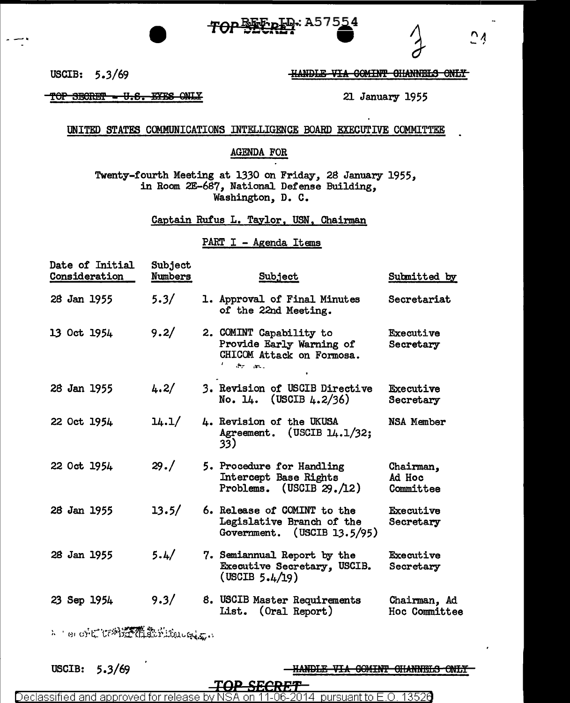# յր.: A575<u>5</u>4



HANDLE-VIA COMINT CHANNELS ONLY

21 January 1955

USCIB: 5.3/69

TOP SECRET - U.S. EYES ONLY

### UNITED STATES COMMUNICATIONS INTELLIGENCE BOARD EXECUTIVE COMMITTEE

### **AGENDA FOR**

Twenty-fourth Meeting at 1330 on Friday, 28 January 1955, in Room 2E-687, National Defense Building, Washington, D. C.

Captain Rufus L. Taylor, USN, Chairman

### PART I - Agenda Items

| Date of Initial<br>Consideration | Subject<br>Numbers | Subject                                                                                      | Submitted by                     |
|----------------------------------|--------------------|----------------------------------------------------------------------------------------------|----------------------------------|
| 28 Jan 1955                      | 5.3/               | 1. Approval of Final Minutes<br>of the 22nd Meeting.                                         | Secretariat                      |
| 13 Oct 1954                      | 9.2/               | 2. COMINT Capability to<br>Provide Early Warning of<br>CHICOM Attack on Formosa.<br>the area | Executive<br>Secretary           |
| 28 Jan 1955                      | 4.2/               | 3. Revision of USCIB Directive<br>No. 14. (USCIB $4.2/36$ )                                  | Executive<br>Secretary           |
| 22 Oct 1954                      | 14.1/              | 4. Revision of the UKUSA<br>Agreement. (USCIB $14.1/32$ ;<br>33)                             | NSA Member                       |
| 22 Oct 1954                      | 29. /              | 5. Procedure for Handling<br>Intercept Base Rights<br>Problems. (USCIB $29./12$ )            | Chairman,<br>Ad Hoc<br>Committee |
| 28 Jan 1955                      | 13.5/              | 6. Release of COMINT to the<br>Legislative Branch of the<br>Government. (USCIB 13.5/95)      | Executive<br>Secretary           |
| 28 Jan 1955                      | 5.4/               | 7. Semiannual Report by the<br>Executive Secretary, USCIB.<br>(USCIB 5.4/19)                 | Executive<br>Secretary           |
| 23 Sep 1954                      | 9.3/               | 8. USCIB Master Requirements<br>List. (Oral Report)                                          | Chairman, Ad<br>Hoc Committee    |

A Terorit tr科差覆条rifunction

USCIB:  $5.3/69$  HANDLE VIA COMINT CHANNELS ONLY

Declassified and approved for release 13526 1.NR. 2014 pursuant to E.O. hv.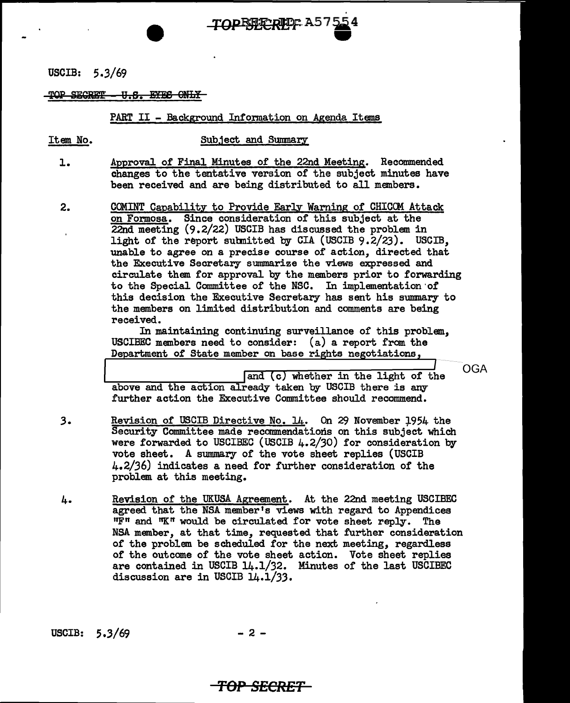USCIB: 5.3/69

TOP SECRET - U.S. EYES ONLY

#### PART II - Background Information on Agenda Items

TOP<del>ERERET</del> AS 154

-

Item No. 5ubject and Summary

- 1. Approval of Final Minutes of the 22nd Meeting. Recommended changes to the tentative version of the subject minutes have been received and are being distributed to all members.
- 2. COMINT Capability to Provide Early Warning of CHICOM Attack on Formosa. Since consideration of' this subject at the 22nd meeting (9 .2/22) USCIB has discussed the problem in light of the report submitted by CIA (USCIB  $9.2/23$ ). USCIB, unable to agree on a precise course of action, directed that the Executive Secretary summarize the views expressed and circulate them for approval by the members prior to forwarding to the Special Committee of the NSC. In implementation·of this decision the Executive Secretary has sent his summary to the members on limited distribution and comments are being received.

In maintaining continuing surveillance of this problem, USCIBEC members need to consider: (a) a report from the Department of State member on base rights negotiations,

OGA

and (c) whether in the light of the above and the action already taken by USCIB there is any further action the Executive Committee should recommend.

- $3.$ Revision of USCIB Directive No. 14. On 29 November 1954 the Security Committee made recommendations on this subject which were forwarded to USCIBEC (USCIB 4.2/30) for consideration by vote sheet. A summary of the vote sheet replies (USCIB 4.2/36) indicates a need for further consideration of the problem at this meeting.
- 4. Revision of the UKUSA Agreement. At the 22nd meeting USCIBEC agreed that the NSA member's views with regard to Appendices 11F11 and "K" would be circulated for vote sheet reply. The NSA member, at that time, requested that further consideration of the problem be scheduled for the next meeting, regardless of the outcome of the vote sheet action. Vote sheet replies are contained in USCIB 14.1/32. Minutes of the last USCIBEC discussion are in USCIB 14.1/33.

USCIB:  $5.3/69$  - 2 -